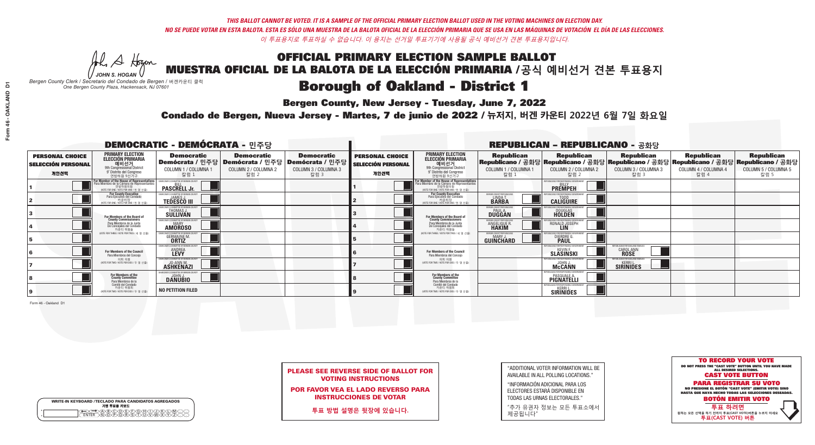**Bergen County, New Jersey - Tuesday, June 7, 2022** 

A Hogen *JOHN S. HOGAN*

| <b>WRITE-IN KEYBOARD /TECLADO PARA CANDIDATOS AGREGADOS</b><br>기명 투표용 키보드 |  |
|---------------------------------------------------------------------------|--|
| A)B)C)D)E)(F)(G)(H)(1<br><u>ጒ፝፟፟፟</u> ፟፝፟፟፟፝ዀ፝ዀ፝፟ዀ                        |  |

*Bergen County Clerk / Secretario del Condado de Bergen /* 버겐카운티 클럭 *One Bergen County Plaza, Hackensack, NJ 07601*

Condado de Bergen, Nueva Jersey - Martes, 7 de junio de 2022 / 뉴저지, 버겐 카운티 2022년 6월 7일 화요일 *One Bergen County Plaza, Hackensack, NJ 07601*



PLEASE SEE REVERSE SIDE OF BALLOT FOR VOTING INSTRUCTIONS

POR FAVOR VEA EL LADO REVERSO PARA INSTRUCCIONES DE VOTAR

**투표 방법 설명은 뒷장에 있습니다.**

"ADDITIONAL VOTER INFORMATION WILL BE AVAILABLE IN ALL POLLING LOCATIONS."

"INFORMACIÓN ADICIONAL PARA LOS ELECTORES ESTARÁ DISPONIBLE EN TODAS LAS URNAS ELECTORALES."

"추가 유권자 정보는 모든 투표소에서 제공됩니다"

|                                                             |                                                                                                                                               | <b>DEMOCRATIC - DEMÓCRATA - 민주당</b>                                     |                                                   |                                                                                                        |                                                             |                                                                                                                                   |                                                            | <b>REPUBLICAN - REPUBLICANO - 공화당</b>                                                                                                          |                                                           |                                                   |                                                   |
|-------------------------------------------------------------|-----------------------------------------------------------------------------------------------------------------------------------------------|-------------------------------------------------------------------------|---------------------------------------------------|--------------------------------------------------------------------------------------------------------|-------------------------------------------------------------|-----------------------------------------------------------------------------------------------------------------------------------|------------------------------------------------------------|------------------------------------------------------------------------------------------------------------------------------------------------|-----------------------------------------------------------|---------------------------------------------------|---------------------------------------------------|
| <b>PERSONAL CHOICE</b><br><b>SELECCIÓN PERSONAL</b><br>개인선택 | <b>PRIMARY ELECTION</b><br><b>ELECCIÓN PRIMARIA</b><br>예비선거<br><sup>9th</sup> Congressional District<br>9° Distrito del Congreso<br>연방하원 9선거구 | <b>Democratic</b><br>COLUMN 1 / COLUMNA 1<br>칼럼 :                       | <b>Democratic</b><br>COLUMN 2 / COLUMNA 2<br>칼럼 2 | <b>Democratic</b><br>Demócrata / 민주당 Demócrata / 민주당 Demócrata / 민주당 D<br>COLUMN 3 / COLUMNA 3<br>칼럼 3 | <b>PERSONAL CHOICE</b><br><b>SELECCIÓN PERSONAL</b><br>개인선택 | <b>PRIMARY ELECTION</b><br>ELECCIÓN PRIMARIA<br>예비선거<br>9th Congressional District<br>9° Distrito del Congreso<br>연방하원 9선거구       | <b>Republican</b><br>COLUMN 1 / COLUMNA 1<br>칼럼            | <b>Republican</b><br>Republicano / 공화당 Republicano / 공화당 Republicano / 공화당 Republicano / 공화당 Republicano / 공화당<br>COLUMN 2 / COLUMNA 2<br>칼럼 2 | <b>Republican</b><br>COLUMN 3 / COLUMNA 3<br>칼럼 3         | <b>Republican</b><br>COLUMN 4 / COLUMNA 4<br>칼럼 4 | <b>Republican</b><br>COLUMN 5 / COLUMNA 5<br>칼럼 5 |
|                                                             | or Member of the House of Representatives<br>ara Miembro de la Cámara de Representantes<br>연방하원의원<br>(VOTE FOR ONE / VOTE POR UNO / 한 명 선출)   | <b>PASCRELL Jr.</b>                                                     |                                                   |                                                                                                        |                                                             | For Member of the House of Representatives<br>Para Miembro de la Cámara de Representantes<br>NOTE FOR ONE / VOTE POR UNO / 한 명 선출 |                                                            | PUBLICANS FOR RESPONSIBLE GOVERNI<br><b>PREMPEH</b>                                                                                            |                                                           |                                                   |                                                   |
|                                                             | For County Executive<br>Para Ejecutivo del Condado<br>가운티장 - 카운티장<br>(VOTE FOR ONE / VOTE POR UNO / 한 명 선출)                                   | EMOCRATIC COMMITTEE OF BERGEN COUNTY<br><b>TEDESCO III</b>              |                                                   |                                                                                                        |                                                             | For County Executive<br>Para Ejecutivo del Condado<br>카운티장<br>(VOTE FOR ONE / VOTE POR UNO / 한 명 선출)                              | ERGEN COUNTY REPUBLICA<br>LINDA T.<br><b>BARBA</b>         | <b>CALIGUIRE</b>                                                                                                                               |                                                           |                                                   |                                                   |
|                                                             | For Members of the Board of<br>County Commissioners                                                                                           | <b>DCRATIC COMMITTEE OF BERGEN COUNT</b><br>THOMAS J.                   |                                                   |                                                                                                        |                                                             | For Members of the Board of<br>County Commissioners                                                                               | ERGEN COUNTY REPUBLICAN<br><b>PAUL A.</b><br><b>DUGGAN</b> | <b>DOUGLAS</b>                                                                                                                                 |                                                           |                                                   |                                                   |
|                                                             | Para Miembros de la Junta<br>De Concejales del Condado<br>카운티 위원들                                                                             | OCRATIC COMMITTEE OF BERGEN COUNTY<br><b>MARY</b><br><b>AMOROSO</b>     |                                                   |                                                                                                        |                                                             | Para Miembros de la Junta<br>De Concejales del Condado<br>카운티 위원들                                                                 | ERGEN COUNTY REPUBLICAN<br>ANGELIQUE R                     | RONALD JOSEPH                                                                                                                                  |                                                           |                                                   |                                                   |
|                                                             | NOTE FOR THREE / VOTE POR TRES / 세 명 선출)                                                                                                      | <b>TIC COMMITTEE OF BERGEN CO</b><br><b>GERMAINE M.</b><br><b>ORTIZ</b> |                                                   |                                                                                                        |                                                             | (VOTE FOR THREE / VOTE POR TRES / 세 명 선출)                                                                                         | ERGEN COUNTY REPUBLICANS<br>MARY J<br><b>GUINCHARD</b>     | FNR RESPNNSIRI E I<br>DIERDRE G                                                                                                                |                                                           |                                                   |                                                   |
|                                                             | For Members of the Council<br>Para Miembros del Conceio                                                                                       | OCRATIC COMMITTEE OF BERGEN COUNTY<br><b>ANDREA</b>                     |                                                   |                                                                                                        |                                                             | For Members of the Council<br>Para Miembros del Concejo                                                                           |                                                            | RI ICANS FOR RESPONSIRI E G<br><b>SLÄSINSKI</b>                                                                                                | UBLICANS FOR OAKLAND FAMILIES<br>CAROL ANN<br><b>ROSE</b> |                                                   |                                                   |
|                                                             | 의회 의원<br>(VOTE FOR TWO / VOTE POR DOS / 두 명 선출)                                                                                               | EMOCRATIC COMMITTEE OF BERGEN COUNTY<br><b>ASHKENAZI</b>                |                                                   |                                                                                                        |                                                             | 이히 이워<br>NOTE FOR TWO / VOTE POR DOS / 두 명 선출)                                                                                    |                                                            | PUBLICANS FOR RESPONSIBLE GOVERNM<br><b>McCANN</b>                                                                                             | UBI ICANS FOR OAKI AND FAMILIES.<br><b>SIRINIDES</b>      |                                                   |                                                   |
|                                                             | For Members of the<br>County Committee<br>Para Miembros de la<br>Comité del Condado                                                           | <b>DANUBIO</b>                                                          |                                                   |                                                                                                        |                                                             | For Members of the<br>County Committee<br>Para Miembros de la<br>Comité del Condado                                               |                                                            | IIRI ICANS FOR RESPONSIRI F<br>PASQUALE<br>PIGNATELLI                                                                                          |                                                           |                                                   |                                                   |
|                                                             | 카운티 위원회<br>NOTE FOR TWO / VOTE POR DOS / 두 명 선출)                                                                                              | <b>NO PETITION FILED</b>                                                |                                                   |                                                                                                        |                                                             | 카운티 위원회<br>NOTE FOR TWO / VOTE POR DOS / 두 명 선출)                                                                                  |                                                            | PUBLICANS FOR RESPONSIBLE GOVERNMEN<br><b>SIRINIDES</b>                                                                                        |                                                           |                                                   |                                                   |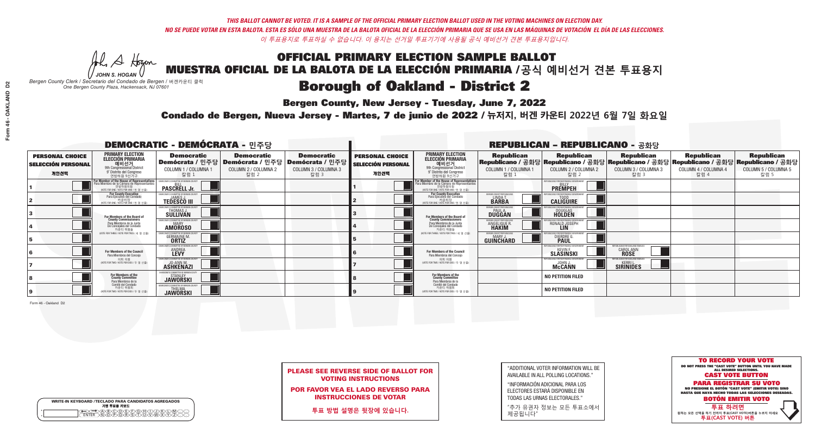**Bergen County, New Jersey - Tuesday, June 7, 2022** 

A Hogen *JOHN S. HOGAN*

|         | <b>WRITE-IN KEYBOARD /TECLADO PARA CANDIDATOS AGREGADOS</b><br>기명 투표용 키보드 |
|---------|---------------------------------------------------------------------------|
| ٥       | )(B)C)(D)(E)(F)(G)(H)(                                                    |
| $\circ$ | <u>፝ዀ፝</u> ፙዂጞቝ                                                           |

*Bergen County Clerk / Secretario del Condado de Bergen /* 버겐카운티 클럭 *One Bergen County Plaza, Hackensack, NJ 07601*

Condado de Bergen, Nueva Jersey - Martes, 7 de junio de 2022 / 뉴저지, 버겐 카운티 2022년 6월 7일 화요일 *One Bergen County Plaza, Hackensack, NJ 07601*



|  |                            | <b>PLEASE SEE REVERSE SIDE OF BALLOT FOR</b> |  |
|--|----------------------------|----------------------------------------------|--|
|  | <b>VOTING INSTRUCTIONS</b> |                                              |  |

POR FAVOR VEA EL LADO REVERSO PARA INSTRUCCIONES DE VOTAR

**투표 방법 설명은 뒷장에 있습니다.**

| "ADDITIONAL VOTER INFORMATION WILL BE |
|---------------------------------------|
| AVAILABLE IN ALL POLLING LOCATIONS."  |

"INFORMACIÓN ADICIONAL PARA LOS ELECTORES ESTARÁ DISPONIBLE EN TODAS LAS URNAS ELECTORALES."

"추가 유권자 정보는 모든 투표소에서 제공됩니다"

|                                                             |                                                                                                                                               | <b>DEMOCRATIC - DEMÓCRATA - 민주당</b>                                      |                                                   |                                                                                                        |                                                             |                                                                                                                                   |                                                            | <b>REPUBLICAN - REPUBLICANO - 공화당</b>                                                                                                          |                                                            |                                                   |                                                   |
|-------------------------------------------------------------|-----------------------------------------------------------------------------------------------------------------------------------------------|--------------------------------------------------------------------------|---------------------------------------------------|--------------------------------------------------------------------------------------------------------|-------------------------------------------------------------|-----------------------------------------------------------------------------------------------------------------------------------|------------------------------------------------------------|------------------------------------------------------------------------------------------------------------------------------------------------|------------------------------------------------------------|---------------------------------------------------|---------------------------------------------------|
| <b>PERSONAL CHOICE</b><br><b>SELECCIÓN PERSONAL</b><br>개인선택 | <b>PRIMARY ELECTION</b><br><b>ELECCIÓN PRIMARIA</b><br>예비선거<br><sup>9th</sup> Congressional District<br>9° Distrito del Congreso<br>연방하원 9선거구 | <b>Democratic</b><br>COLUMN 1 / COLUMNA 1<br>칼럼 :                        | <b>Democratic</b><br>COLUMN 2 / COLUMNA 2<br>칼럼 2 | <b>Democratic</b><br>Demócrata / 민주당 Demócrata / 민주당 Demócrata / 민주당 D<br>COLUMN 3 / COLUMNA 3<br>칼럼 3 | <b>PERSONAL CHOICE</b><br><b>SELECCIÓN PERSONAL</b><br>개인선택 | <b>PRIMARY ELECTION</b><br>ELECCIÓN PRIMARIA<br>예비선거<br>9th Congressional District<br>9° Distrito del Congreso<br>연방하원 9선거구       | <b>Republican</b><br>COLUMN 1 / COLUMNA 1<br>칼럼            | <b>Republican</b><br>Republicano / 공화당 Republicano / 공화당 Republicano / 공화당 Republicano / 공화당 Republicano / 공화당<br>COLUMN 2 / COLUMNA 2<br>칼럼 2 | <b>Republican</b><br>COLUMN 3 / COLUMNA 3<br>칼럼 3          | <b>Republican</b><br>COLUMN 4 / COLUMNA 4<br>칼럼 4 | <b>Republican</b><br>COLUMN 5 / COLUMNA 5<br>칼럼 5 |
|                                                             | or Member of the House of Representatives<br>ara Miembro de la Cámara de Representantes<br>연방하원의원<br>(VOTE FOR ONE / VOTE POR UNO / 한 명 선출)   | <b>PASCRELL Jr.</b>                                                      |                                                   |                                                                                                        |                                                             | For Member of the House of Representatives<br>Para Miembro de la Cámara de Representantes<br>NOTE FOR ONE / VOTE POR UNO / 한 명 선출 |                                                            | PUBLICANS FOR RESPONSIBLE GOVERN<br><b>PREMPEH</b>                                                                                             |                                                            |                                                   |                                                   |
|                                                             | <b>For County Executive</b><br>Para Ejecutivo del Condado<br>가운티장<br>(VOTE FOR ONE / VOTE POR UNO / 한 명 선출)                                   | EMOCRATIC COMMITTEE OF BERGEN COUNTY<br><b>TEDESCO III</b>               |                                                   |                                                                                                        |                                                             | For County Executive<br>Para Ejecutivo del Condado<br>카운티장<br>(VOTE FOR ONE / VOTE POR UNO / 한 명 선출)                              | ERGEN COUNTY REPUBLICA<br>LINDA T.<br><b>BARBA</b>         | <b>CALIGUIRE</b>                                                                                                                               |                                                            |                                                   |                                                   |
|                                                             | For Members of the Board of<br>County Commissioners                                                                                           | <b>DCRATIC COMMITTEE OF BERGEN COUNT</b><br>THOMAS J.                    |                                                   |                                                                                                        |                                                             | For Members of the Board of<br>County Commissioners                                                                               | ERGEN COUNTY REPUBLICAN<br><b>PAUL A.</b><br><b>DUGGAN</b> | <b>DOUGLAS</b>                                                                                                                                 |                                                            |                                                   |                                                   |
|                                                             | Para Miembros de la Junta<br>De Concejales del Condado<br>카운티 위원들                                                                             | OCRATIC COMMITTEE OF BERGEN COUNTY<br><b>MARY</b><br><b>AMOROSO</b>      |                                                   |                                                                                                        |                                                             | Para Miembros de la Junta<br>De Concejales del Condado<br>카우티 위원들                                                                 | ERGEN COUNTY REPUBLICAN<br>ANGELIQUE R                     | RONALD JOSEPH                                                                                                                                  |                                                            |                                                   |                                                   |
|                                                             | NOTE FOR THREE / VOTE POR TRES / 세 명 선출)                                                                                                      | <b>ATIC COMMITTEE OF BERGEN CO</b><br><b>GERMAINE M.</b><br><b>ORTIZ</b> |                                                   |                                                                                                        |                                                             | (VOTE FOR THREE / VOTE POR TRES / 세 명 선출)                                                                                         | ERGEN COUNTY REPUBLICANS<br><b>MARY J</b><br>GUINCHARD     | FNR RESPNNSIRI E I<br>DIERDRE G                                                                                                                |                                                            |                                                   |                                                   |
|                                                             | For Members of the Council<br>Para Miembros del Conceio                                                                                       | OCRATIC COMMITTEE OF BERGEN COUNTY<br><b>ANDREA</b>                      |                                                   |                                                                                                        |                                                             | For Members of the Council<br>Para Miembros del Concejo                                                                           |                                                            | RI ICANS FOR RESPONSIRI E G<br><b>SLÄSINSKI</b>                                                                                                | PUBLICANS FOR OAKLAND FAMILIES<br>CAROL ANN<br><b>ROSE</b> |                                                   |                                                   |
|                                                             | 의회 의원<br>(VOTE FOR TWO / VOTE POR DOS / 두 명 선출)                                                                                               | EMOCRATIC COMMITTEE OF BERGEN COUNT<br><b>ASHKENAZI</b>                  |                                                   |                                                                                                        |                                                             | 이히 이워<br>NOTE FOR TWO / VOTE POR DOS / 두 명 선출)                                                                                    |                                                            | PURLICANS FOR RESPONSIBLE GOVERNM<br><b>McCANN</b>                                                                                             | UBI ICANS FOR OAKI AND FAMILIES<br><b>SIRINIDES</b>        |                                                   |                                                   |
|                                                             | For Members of the<br>County Committee<br>Para Miembros de la<br>Comité del Condado                                                           | <b>JAWORSKI</b>                                                          |                                                   |                                                                                                        |                                                             | For Members of the<br>County Committee<br>Para Miembros de la<br>Comité del Condado                                               |                                                            | <b>NO PETITION FILED</b>                                                                                                                       |                                                            |                                                   |                                                   |
|                                                             | 카운티 위원회<br>NOTE FOR TWO / VOTE POR DOS / 두 명 선출)                                                                                              | <b>JAWORSKI</b>                                                          |                                                   |                                                                                                        |                                                             | 카운티 위원회<br>NOTE FOR TWO / VOTE POR DOS / 두 명 선출)                                                                                  |                                                            | <b>NO PETITION FILED</b>                                                                                                                       |                                                            |                                                   |                                                   |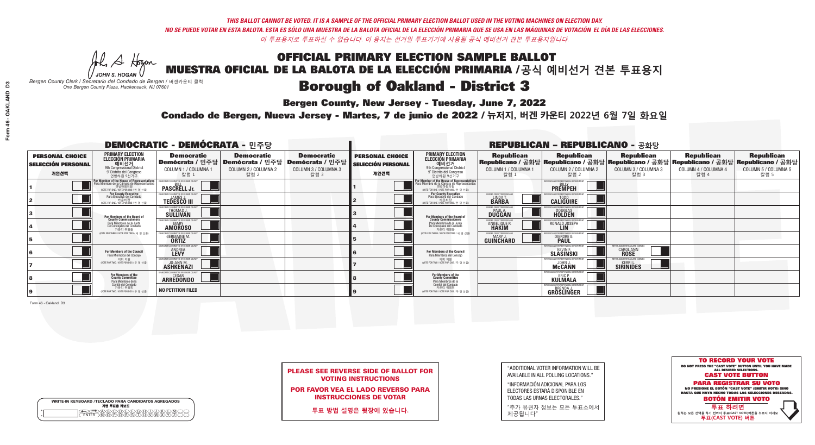**Bergen County, New Jersey - Tuesday, June 7, 2022** 

A Hogen *JOHN S. HOGAN*

| <b>WRITE-IN KEYBOARD /TECLADO PARA CANDIDATOS AGREGADOS</b><br>기명 투표용 키보드 |  |
|---------------------------------------------------------------------------|--|
| A)B)C)D)E)(F)(G)(H)(1<br><u>ጒ፝፟፟፟</u> ፟፝፟፟፟፝ዀ፝ዀ፝፟ዀ                        |  |

*Bergen County Clerk / Secretario del Condado de Bergen /* 버겐카운티 클럭 *One Bergen County Plaza, Hackensack, NJ 07601*

Condado de Bergen, Nueva Jersey - Martes, 7 de junio de 2022 / 뉴저지, 버겐 카운티 2022년 6월 7일 화요일 *One Bergen County Plaza, Hackensack, NJ 07601*



|                            | <b>PLEASE SEE REVERSE SIDE OF BALLOT FOR</b> |
|----------------------------|----------------------------------------------|
| <b>VOTING INSTRUCTIONS</b> |                                              |

POR FAVOR VEA EL LADO REVERSO PARA INSTRUCCIONES DE VOTAR

**투표 방법 설명은 뒷장에 있습니다.**

"ADDITIONAL VOTER INFORMATION WILL BE AVAILABLE IN ALL POLLING LOCATIONS."

"INFORMACIÓN ADICIONAL PARA LOS ELECTORES ESTARÁ DISPONIBLE EN TODAS LAS URNAS ELECTORALES."

"추가 유권자 정보는 모든 투표소에서 제공됩니다"

|                                                             |                                                                                                                                             | <b>DEMOCRATIC - DEMÓCRATA - 민주당</b>                                       |                                                   |                                                                                                        |                                                             |                                                                                                                                                       |                                                            | <b>REPUBLICAN - REPUBLICANO - 공화당</b>                                                                                                          |                                                     |                                                   |                                                   |
|-------------------------------------------------------------|---------------------------------------------------------------------------------------------------------------------------------------------|---------------------------------------------------------------------------|---------------------------------------------------|--------------------------------------------------------------------------------------------------------|-------------------------------------------------------------|-------------------------------------------------------------------------------------------------------------------------------------------------------|------------------------------------------------------------|------------------------------------------------------------------------------------------------------------------------------------------------|-----------------------------------------------------|---------------------------------------------------|---------------------------------------------------|
| <b>PERSONAL CHOICE</b><br><b>SELECCIÓN PERSONAL</b><br>개인선택 | <b>PRIMARY ELECTION</b><br><b>ELECCIÓN PRIMARIA</b><br>예비선거<br>애비선거<br>9° Distrito del Congreso<br>연방하원 9선거구                                | <b>Democratic</b><br>COLUMN 1 / COLUMNA 1<br>칼럼                           | <b>Democratic</b><br>COLUMN 2 / COLUMNA 2<br>칼럼 2 | <b>Democratic</b><br>Demócrata / 민주당 Demócrata / 민주당 Demócrata / 민주당 D<br>COLUMN 3 / COLUMNA 3<br>칼럼 3 | <b>PERSONAL CHOICE</b><br><b>SELECCIÓN PERSONAL</b><br>개인선택 | <b>PRIMARY ELECTION</b><br>ELECCIÓN PRIMARIA<br>예비선거<br>9th Congressional District<br>9° Distrito del Congreso<br>연방하원 9선거구                           | <b>Republican</b><br>COLUMN 1 / COLUMNA 1<br>칼럼            | <b>Republican</b><br>Republicano / 공화당 Republicano / 공화당 Republicano / 공화당 Republicano / 공화당 Republicano / 공화당<br>COLUMN 2 / COLUMNA 2<br>칼럼 2 | <b>Republican</b><br>COLUMN 3 / COLUMNA 3<br>칼럼 3   | <b>Republican</b><br>COLUMN 4 / COLUMNA 4<br>칼럼 4 | <b>Republican</b><br>COLUMN 5 / COLUMNA 5<br>칼럼 5 |
|                                                             | or Member of the House of Representatives<br>ara Miembro de la Cámara de Representantes<br>연방하원의원<br>(VOTE FOR ONE / VOTE POR UNO / 한 명 선출) | <b>PASCRELL Jr.</b>                                                       |                                                   |                                                                                                        |                                                             | .<br>F <mark>or Member of the House of Representative</mark> s<br>Para Miembro de la Cámara de Representantes<br>NOTE FOR ONE / VOTE POR UNO / 한 명 선출 |                                                            | PUBLICANS FOR RESPONSIBLE GOVERN<br><b>PREMPEH</b>                                                                                             |                                                     |                                                   |                                                   |
|                                                             | For County Executive<br>Para Ejecutivo del Condado<br>7 카운티장<br>(VOTE FOR ONE / VOTE POR UNO / 한 명 선출)                                      | EMOCRATIC COMMITTEE OF BERGEN COUNTY<br><b>TEDESCO III</b>                |                                                   |                                                                                                        |                                                             | For County Executive<br>Para Ejecutivo del Condado<br>카운티장<br>(VOTE FOR ONE / VOTE POR UNO / 한 명 선출)                                                  | ERGEN COUNTY REPUBLICA<br><b>I INDAT</b><br><b>BARBA</b>   | <b>CALIGUIRE</b>                                                                                                                               |                                                     |                                                   |                                                   |
|                                                             | For Members of the Board of<br>County Commissioners                                                                                         | CRATIC COMMITTEE OF BERGEN COUNT<br>THOMAS J.                             |                                                   |                                                                                                        |                                                             | <b>For Members of the Board of</b><br>County Commissioners                                                                                            | ERGEN COUNTY REPUBLICAN<br><b>PAUL A.</b><br><b>DUGGAN</b> | <b>DOUGLAS</b>                                                                                                                                 |                                                     |                                                   |                                                   |
|                                                             | Para Miembros de la Junta<br>De Concejales del Condado<br>카운티 위원들                                                                           | <b>DCRATIC COMMITTEE OF BERGEN COUNT</b><br><b>MARY</b><br><b>AMOROSO</b> |                                                   |                                                                                                        |                                                             | Para Miembros de la Junta<br>De Concejales del Condado<br>카우티 위원들                                                                                     | <b><i>RGEN COUNTY REPUBLICAN</i></b><br>ANGELIQUE R        | RONALD JOSEPH                                                                                                                                  |                                                     |                                                   |                                                   |
|                                                             | NOTE FOR THREE / VOTE POR TRES / 세 명 선출                                                                                                     | JTIC COMMITTEE OF BERGEN COI<br><b>GERMAINE M.</b><br><b>ORTIZ</b>        |                                                   |                                                                                                        |                                                             | (VOTE FOR THREE / VOTE POR TRES / 세 명 선출)                                                                                                             | ERGEN COUNTY REPUBLICANS<br>$MARY$ .<br>GUINCHARD          | FNR RESPNNSIRI E I<br>DIERDRE <sup>(1</sup>                                                                                                    |                                                     |                                                   |                                                   |
|                                                             | For Members of the Council<br>Para Miembros del Conceio                                                                                     | MOCRATIC COMMITTEE OF BERGEN COUNTY<br><b>ANDREA</b>                      |                                                   |                                                                                                        |                                                             | For Members of the Council<br>Para Miembros del Concejo                                                                                               |                                                            | HRI ICANS FOR RESPONSIRI E I<br><b>SLÄSINSKI</b>                                                                                               | EPUBLICANS FOR OAKLAND FAMILIES<br>CAROL ANN        |                                                   |                                                   |
|                                                             | 의회 의원<br>(VOTE FOR TWO / VOTE POR DOS / 두 명 선출)                                                                                             | EMOCRATIC COMMITTEE OF BERGEN COUNTY<br><b>ASHKENAZI</b>                  |                                                   |                                                                                                        |                                                             | 의회 의원<br>(VOTE FOR TWO / VOTE POR DOS / 두 명 선출)                                                                                                       |                                                            | <b>McCANN</b>                                                                                                                                  | UBI ICANS FOR OAKI AND FAMILIES<br><b>SIRINIDES</b> |                                                   |                                                   |
|                                                             | For Members of the<br>County Committee<br>Para Miembros de la                                                                               | CESAR<br><b>ARREDONDO</b>                                                 |                                                   |                                                                                                        |                                                             | For Members of the<br>County Committee<br>Para Miembros de la<br>Comité del Condado                                                                   |                                                            | <b>KULMALA</b>                                                                                                                                 |                                                     |                                                   |                                                   |
|                                                             | Comité del Condado<br>카운티 위원회<br>NOTE FOR TWO / VOTE POR DOS / 두 명 선출)                                                                      | <b>NO PETITION FILED</b>                                                  |                                                   |                                                                                                        |                                                             | 카운티 위원회<br>NOTE FOR TWO / VOTE POR DOS / 두 명 선출)                                                                                                      |                                                            | <b>FPUBLICANS FOR RESPONSIBLE GOVERNMED</b><br>GRÖSLINGER                                                                                      |                                                     |                                                   |                                                   |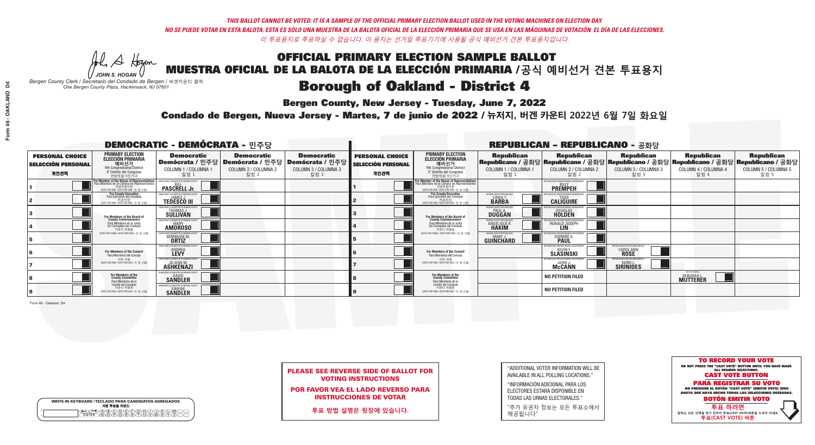Al Stogan

**Bergen County, New Jersey - Tuesday, June 7, 2022** 

| <b>WRITE-IN KEYBOARD /TECLADO PARA CANDIDATOS AGREGADOS</b><br>기명 투표용 키보드 |  |
|---------------------------------------------------------------------------|--|
| (A)B)C)D)E)(F)(G)(H)(T)(T)(<br>o<br>心面有心的<br>o                            |  |

*JOHN S. HOGAN Bergen County Clerk / Secretario del Condado de Bergen /* 버겐카운티 클럭 *One Bergen County Plaza, Hackensack, NJ 07601*

Condado de Bergen, Nueva Jersey - Martes, 7 de junio de 2022 / 뉴저지, 버겐 카운티 2022년 6월 7일 화요일 *One Bergen County Plaza, Hackensack, NJ 07601*



|  | <b>PLEASE SEE REVERSE SIDE OF BALLOT FOR</b> |  |  |
|--|----------------------------------------------|--|--|
|  | <b>VOTING INSTRUCTIONS</b>                   |  |  |

POR FAVOR VEA EL LADO REVERSO PARA INSTRUCCIONES DE VOTAR

**투표 방법 설명은 뒷장에 있습니다.**

| "ADDITIONAL VOTER INFORMATION WILL BE |
|---------------------------------------|
| AVAILABLE IN ALL POLLING LOCATIONS."  |
|                                       |

"INFORMACIÓN ADICIONAL PARA LOS ELECTORES ESTARÁ DISPONIBLE EN TODAS LAS URNAS ELECTORALES."

"추가 유권자 정보는 모든 투표소에서 제공됩니다"

| <b>DEMOCRATIC - DEMÓCRATA - 민주당</b>                         |                                                                                                                                                             |                                                                             |                                                   |                                                                                                              | <b>REPUBLICAN - REPUBLICANO - 공화당</b>                       |                                                                                                                                             |                                                                |                                                                                                                                                |                                                            |                                                   |                                                   |
|-------------------------------------------------------------|-------------------------------------------------------------------------------------------------------------------------------------------------------------|-----------------------------------------------------------------------------|---------------------------------------------------|--------------------------------------------------------------------------------------------------------------|-------------------------------------------------------------|---------------------------------------------------------------------------------------------------------------------------------------------|----------------------------------------------------------------|------------------------------------------------------------------------------------------------------------------------------------------------|------------------------------------------------------------|---------------------------------------------------|---------------------------------------------------|
| <b>PERSONAL CHOICE</b><br><b>SELECCIÓN PERSONAL</b><br>개인선택 | <b>PRIMARY ELECTION</b><br><b>ELECCIÓN PRIMARIA</b><br>예비선거<br><sup>9th</sup> Congressional District<br>9° Distrito del Congreso<br>연방하원 9선거구               | <b>Democratic</b><br>COLUMN 1 / COLUMNA 1<br>칼럼:                            | <b>Democratic</b><br>COLUMN 2 / COLUMNA 2<br>칼럼 2 | <b>Democratic</b><br>  Demócrata / 민주당   Demócrata / 민주당   Demócrata / 민주당  <br>COLUMN 3 / COLUMNA 3<br>칼럼 3 | <b>PERSONAL CHOICE</b><br><b>SELECCIÓN PERSONAL</b><br>개인선택 | <b>PRIMARY ELECTION</b><br>ELECCIÓN PRIMARIA<br>9th Congressional District<br>9° Distrito del Congreso<br>연방하원 9선거구                         | <b>Republican</b><br>COLUMN 1 / COLUMNA 1<br>칼럼 1              | <b>Republican</b><br>Republicano / 공화당 Republicano / 공화당 Republicano / 공화당 Republicano / 공화당 Republicano / 공화당<br>COLUMN 2 / COLUMNA 2<br>칼럼 2 | <b>Republican</b><br>COLUMN 3 / COLUMNA 3<br>칼럼 3          | <b>Republican</b><br>COLUMN 4 / COLUMNA 4<br>칼럼 4 | <b>Republican</b><br>COLUMN 5 / COLUMNA 5<br>칼럼 5 |
|                                                             | F <mark>or Member of the House of Representatives</mark><br>Para Miembro de la Cámara de Representantes<br>연방하원의원<br>(VOTE FOR ONE / VOTE POR UNO / 한 명 선출) | <b>PASCRELL Jr.</b>                                                         |                                                   |                                                                                                              |                                                             | For Member of the House of Representatives<br>Para Miembro de la Cámara de Representantes<br>연방하원의원<br>WOTE FOR ONE / VOTE POR UNO / 한 명 선출 |                                                                | REPUBLICANS FOR RESPONSIBLE GOVE<br><b>PREMPEH</b>                                                                                             |                                                            |                                                   |                                                   |
|                                                             | For County Executive<br>Para Ejecutivo del Condado<br>가운티장<br>(VOTE FOR ONE / VOTE POR UNO / 한 명 선출)                                                        | JEMOCRATIC COMMITTEE OF BERGEN COUNTY<br><b>TEDESCO III</b>                 |                                                   |                                                                                                              |                                                             | For County Executive<br>Para Ejecutivo del Condado<br>7 카운티장<br>(VOTE FOR ONE / VOTE POR UNO / 한 명 선출)                                      | BERGEN COUNTY REPUBLICAN:<br>LINDA T.                          | <b>CALIGUIRE</b>                                                                                                                               |                                                            |                                                   |                                                   |
|                                                             | For Members of the Board of<br>County Commissioners                                                                                                         | MOCRATIC COMMITTEE OF BERGEN CI<br>THOMAS J.                                |                                                   |                                                                                                              |                                                             | For Members of the Board of<br>County Commissioners                                                                                         | ERGEN COUNTY REPUBLICAN<br><b>PAUL A.</b><br><b>DUGGAN</b>     | <b>DOUGLAS</b>                                                                                                                                 |                                                            |                                                   |                                                   |
|                                                             | Para Miembros de la Junta<br>De Concejales del Condado<br>카운티 위원들                                                                                           | MOCRATIC COMMITTEE OF BERGEN COUNT<br><b>AMOROSO</b>                        |                                                   |                                                                                                              |                                                             | Para Miembros de la Junta<br>De Concejales del Condado<br>카운티 위원들                                                                           | ERGEN COUNTY REPUBLICAN!<br><b>ANGELIQUE R</b><br><b>HAKIM</b> | RONALD JOSEPH                                                                                                                                  |                                                            |                                                   |                                                   |
|                                                             | NOTE FOR THREE / VOTE POR TRES / 세 명 선출)                                                                                                                    | RATIC COMMITTEE OF BERGEN COUN<br><b>GERMAINE M</b>                         |                                                   |                                                                                                              |                                                             | NOTE FOR THREE / VOTE POR TRES / 세 명 선출                                                                                                     | ERGEN COUNTY REPUBLICANS<br>GUIÑCHARD                          | <b>DIERDRE</b>                                                                                                                                 |                                                            |                                                   |                                                   |
|                                                             | For Members of the Council<br>Para Miembros del Conceio                                                                                                     | <b>ANDREA</b>                                                               |                                                   |                                                                                                              |                                                             | For Members of the Council<br>Para Miembros del Conceio                                                                                     |                                                                | SLÄSINSKI                                                                                                                                      | I ICANS FOR OAKI AND FAM<br>CAROL ANN<br><b>ROSE</b>       |                                                   |                                                   |
|                                                             | 의회 의원<br>(VOTE FOR TWO / VOTE POR DOS / 두 명 선출)                                                                                                             | EMOCRATIC COMMITTEE OF BERGEN COUNT<br><b>JO-ANN M.</b><br><b>ASHKENAZI</b> |                                                   |                                                                                                              |                                                             | 의회 의원<br>WOTE FOR TWO / VOTE POR DOS / 두 명 선출)                                                                                              |                                                                | PLIRI ICANS FOR RESPONSIRI E GOVERNME<br><b>McCANN</b>                                                                                         | FPUBLICANS FOR OAKLAND FAMILIES<br>- 1<br><b>SIRINIDES</b> |                                                   |                                                   |
|                                                             | For Members of the<br>County Committee<br>Para Miembros de la<br>Comité del Condado                                                                         | MOCRATIC COMMITTEE OF BERGEN CO<br><b>SANDLER</b>                           |                                                   |                                                                                                              |                                                             | For Members of the<br>County Committee<br>Para Miembros de la<br>Comité del Condado                                                         |                                                                | <b>NO PETITION FILED</b>                                                                                                                       |                                                            | WE THE PEOPLE<br><b>DEBORAHL</b>                  |                                                   |
|                                                             | 카운티 위원회<br>VOTE FOR TWO / VOTE POR DOS / 두 명 선출)                                                                                                            | CRATIC COMMITTEE OF BERGEN CI<br><b>SIMONE</b><br><b>SANDLER</b>            |                                                   |                                                                                                              |                                                             | 카운티 위원회<br>WOTE FOR TWO / VOTE POR DOS / 두 명 선출)                                                                                            |                                                                | <b>NO PETITION FILED</b>                                                                                                                       |                                                            |                                                   |                                                   |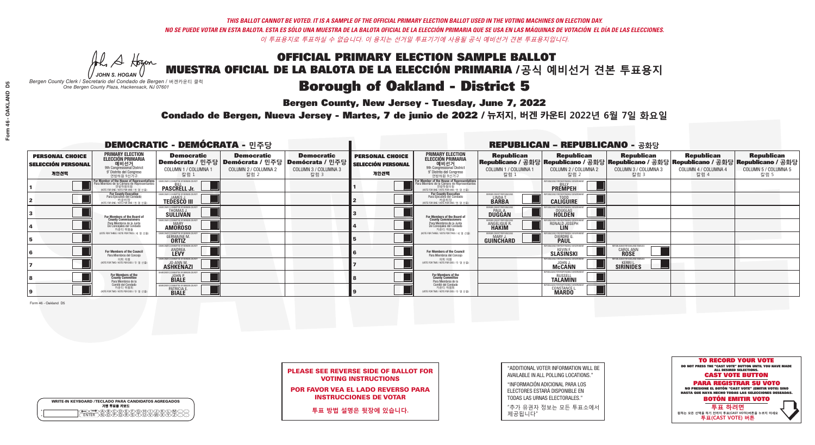A Hogen

**Bergen County, New Jersey - Tuesday, June 7, 2022** 

|         | <b>WRITE-IN KEYBOARD /TECLADO PARA CANDIDATOS AGREGADOS</b><br>기명 투표용 키보드 |
|---------|---------------------------------------------------------------------------|
| ٥       | .)(B)C)(D)(E)(F)(G)(H)(                                                   |
| $\circ$ | <u>፝ዀፙቑ፝፠ዾ</u>                                                            |

*JOHN S. HOGAN Bergen County Clerk / Secretario del Condado de Bergen /* 버겐카운티 클럭 *One Bergen County Plaza, Hackensack, NJ 07601*



PLEASE SEE REVERSE SIDE OF BALLOT FOR VOTING INSTRUCTIONS

POR FAVOR VEA EL LADO REVERSO PARA INSTRUCCIONES DE VOTAR

**투표 방법 설명은 뒷장에 있습니다.**

| "ADDITIONAL VOTER INFORMATION WILL BE |
|---------------------------------------|
| AVAILABLE IN ALL POLLING LOCATIONS."  |

"INFORMACIÓN ADICIONAL PARA LOS ELECTORES ESTARÁ DISPONIBLE EN TODAS LAS URNAS ELECTORALES."

"추가 유권자 정보는 모든 투표소에서 제공됩니다"

Condado de Bergen, Nueva Jersey - Martes, 7 de junio de 2022 / 뉴저지, 버겐 카운티 2022년 6월 7일 화요일 *One Bergen County Plaza, Hackensack, NJ 07601*

| <b>DEMOCRATIC - DEMÓCRATA - 민주당</b>                         |                                                                                                                                               |                                                                           |                                                   |                                                                                                        |                                                             |                                                                                                                                                       |                                                                                                                                              | <b>REPUBLICAN - REPUBLICANO - 공화당</b>              |                                                    |                                                   |                                                   |
|-------------------------------------------------------------|-----------------------------------------------------------------------------------------------------------------------------------------------|---------------------------------------------------------------------------|---------------------------------------------------|--------------------------------------------------------------------------------------------------------|-------------------------------------------------------------|-------------------------------------------------------------------------------------------------------------------------------------------------------|----------------------------------------------------------------------------------------------------------------------------------------------|----------------------------------------------------|----------------------------------------------------|---------------------------------------------------|---------------------------------------------------|
| <b>PERSONAL CHOICE</b><br><b>SELECCIÓN PERSONAL</b><br>개인선택 | <b>PRIMARY ELECTION</b><br><b>ELECCIÓN PRIMARIA</b><br>예비선거<br><sup>9th</sup> Congressional District<br>9° Distrito del Congreso<br>연방하원 9선거구 | <b>Democratic</b><br>COLUMN 1 / COLUMNA 1<br>칼럼                           | <b>Democratic</b><br>COLUMN 2 / COLUMNA 2<br>칼럼 2 | <b>Democratic</b><br>Demócrata / 민주당 Demócrata / 민주당 Demócrata / 민주당 D<br>COLUMN 3 / COLUMNA 3<br>칼럼 3 | <b>PERSONAL CHOICE</b><br><b>SELECCIÓN PERSONAL</b><br>개인선택 | <b>PRIMARY ELECTION</b><br>ELECCIÓN PRIMARIA<br>예비선거<br>9th Congressional District<br>9° Distrito del Congreso<br>연방하원 9선거구                           | <b>Republican</b><br>Republicano / 공화당 Republicano / 공화당 Republicano / 공화당 Republicano / 공화당 Republicano / 공화당<br>COLUMN 1 / COLUMNA 1<br>칼럼 | <b>Republican</b><br>COLUMN 2 / COLUMNA 2<br>칼럼 2  | <b>Republican</b><br>COLUMN 3 / COLUMNA 3<br>칼럼 3  | <b>Republican</b><br>COLUMN 4 / COLUMNA 4<br>칼럼 4 | <b>Republican</b><br>COLUMN 5 / COLUMNA 5<br>칼럼 5 |
|                                                             | or Member of the House of Representatives<br>ara Miembro de la Cámara de Representantes<br>연방하원의원<br>(VOTE FOR ONE / VOTE POR UNO / 한 명 선출)   | <b>PASCRELL Jr.</b>                                                       |                                                   |                                                                                                        |                                                             | .<br>F <mark>or Member of the House of Representative</mark> s<br>Para Miembro de la Cámara de Representantes<br>NOTE FOR ONE / VOTE POR UNO / 한 명 선출 |                                                                                                                                              | PUBLICANS FOR RESPONSIBLE GOVERN<br><b>PREMPEH</b> |                                                    |                                                   |                                                   |
|                                                             | For County Executive<br>Para Ejecutivo del Condado<br>7 카운티장<br>(VOTE FOR ONE / VOTE POR UNO / 한 명 선출)                                        | EMOCRATIC COMMITTEE OF BERGEN COUNTY<br><b>TEDESCO III</b>                |                                                   |                                                                                                        |                                                             | For County Executive<br>Para Ejecutivo del Condado<br>카운티장<br>(VOTE FOR ONE / VOTE POR UNO / 한 명 선출)                                                  | ERGEN COUNTY REPUBLICA<br><b>I INDAT</b><br><b>BARBA</b>                                                                                     | <b>CALIGUIRE</b>                                   |                                                    |                                                   |                                                   |
|                                                             | For Members of the Board of<br>County Commissioners                                                                                           | CRATIC COMMITTEE OF BERGEN COUNT<br>THOMAS J.                             |                                                   |                                                                                                        |                                                             | <b>For Members of the Board of</b><br>County Commissioners                                                                                            | ERGEN COUNTY REPUBLICAN<br><b>PAUL A.</b><br><b>DUGGAN</b>                                                                                   | <b>DOUGLAS</b>                                     |                                                    |                                                   |                                                   |
|                                                             | Para Miembros de la Junta<br>De Concejales del Condado<br>카우티 위원들                                                                             | <b>DCRATIC COMMITTEE OF BERGEN COUNT</b><br><b>MARY</b><br><b>AMOROSO</b> |                                                   |                                                                                                        |                                                             | Para Miembros de la Junta<br>De Concejales del Condado<br>카우티 위원들                                                                                     | <b><i>RGEN COUNTY REPUBLICAN</i></b><br>ANGELIQUE R                                                                                          | RONALD JOSEPH                                      |                                                    |                                                   |                                                   |
|                                                             | NOTE FOR THREE / VOTE POR TRES / 세 명 선출                                                                                                       | TIC COMMITTEE OF BERGEN CO<br><b>GERMAINE M.</b><br><b>ORTIZ</b>          |                                                   |                                                                                                        |                                                             | (VOTE FOR THREE / VOTE POR TRES / 세 명 선출)                                                                                                             | ERGEN COUNTY REPUBLICANS<br>$MARY$ .<br>GUINCHARD                                                                                            | FNR RESPNNSIRI E I<br>DIERDRE <sup>(1</sup>        |                                                    |                                                   |                                                   |
|                                                             | For Members of the Council<br>Para Miembros del Conceio                                                                                       | MOCRATIC COMMITTEE OF BERGEN COUNTY<br><b>ANDREA</b>                      |                                                   |                                                                                                        |                                                             | <b>For Members of the Council</b><br>Para Miembros del Concejo                                                                                        |                                                                                                                                              | HRI ICANS FOR RESPONSIRI E I<br><b>SLÄSINSKI</b>   | FPUBI ICANS FOR OAKI AND FAMILIES<br>CAROL ANN     |                                                   |                                                   |
|                                                             | 의회 의원<br>(VOTE FOR TWO / VOTE POR DOS / 두 명 선출)                                                                                               | EMOCRATIC COMMITTEE OF BERGEN COUNTY<br><b>ASHKENAZI</b>                  |                                                   |                                                                                                        |                                                             | 의회 의원<br>NOTE FOR TWO / VOTE POR DOS / 두 명 선출)                                                                                                        |                                                                                                                                              | <b>McCANN</b>                                      | PUBLICANS FOR OAKLAND FAMILIES<br><b>SIRINIDES</b> |                                                   |                                                   |
|                                                             | For Members of the<br>County Committee<br>Para Miembros de la                                                                                 | <b>JOHN P.</b><br><b>BIALE</b>                                            |                                                   |                                                                                                        |                                                             | For Members of the<br>County Committee<br>Para Miembros de la<br>Comité del Condado                                                                   |                                                                                                                                              | <b>RUSSELL</b><br><b>TALAMINI</b>                  |                                                    |                                                   |                                                   |
|                                                             | Comité del Condado<br>카운티 위원회<br>NOTE FOR TWO / VOTE POR DOS / 두 명 선출)                                                                        | MOCRATIC COMMITTEE OF BERGEN<br>PATRICIA E<br><b>BIALE</b>                |                                                   |                                                                                                        |                                                             | 카운티 위원회<br>NOTE FOR TWO / VOTE POR DOS / 두 명 선출)                                                                                                      |                                                                                                                                              | PUBLICANS FOR RESPONSIBLE G<br><b>CONSTANCE L.</b> |                                                    |                                                   |                                                   |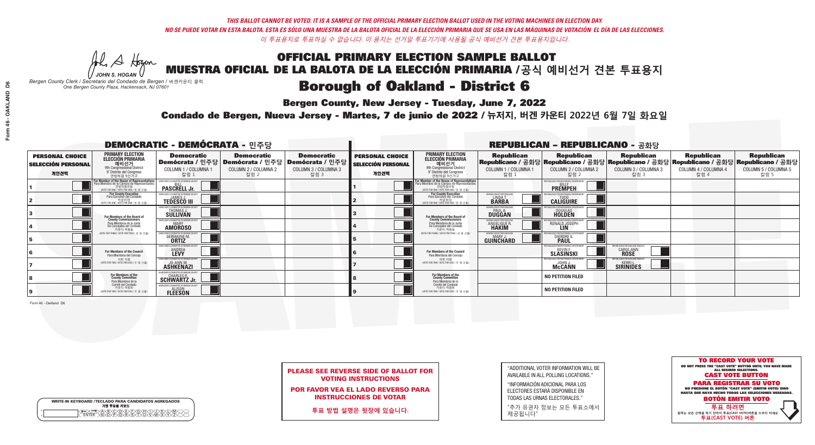A Hogen

**Bergen County, New Jersey - Tuesday, June 7, 2022** 

|   | <b>WRITE-IN KEYBOARD /TECLADO PARA CANDIDATOS AGREGADOS</b><br>기명 투표용 키보드 |
|---|---------------------------------------------------------------------------|
| o | .)B)C)DE)F)G)H)                                                           |
| o | <u>እጅአል አል</u>                                                            |

*JOHN S. HOGAN Bergen County Clerk / Secretario del Condado de Bergen /* 버겐카운티 클럭 *One Bergen County Plaza, Hackensack, NJ 07601*

Condado de Bergen, Nueva Jersey - Martes, 7 de junio de 2022 / 뉴저지, 버겐 카운티 2022년 6월 7일 화요일 *One Bergen County Plaza, Hackensack, NJ 07601*



PLEASE SEE REVERSE SIDE OF BALLOT FOR VOTING INSTRUCTIONS

POR FAVOR VEA EL LADO REVERSO PARA INSTRUCCIONES DE VOTAR

**투표 방법 설명은 뒷장에 있습니다.**

| "ADDITIONAL VOTER INFORMATION WILL BE |
|---------------------------------------|
| AVAILABLE IN ALL POLLING LOCATIONS."  |
|                                       |

"INFORMACIÓN ADICIONAL PARA LOS ELECTORES ESTARÁ DISPONIBLE EN TODAS LAS URNAS ELECTORALES."

"추가 유권자 정보는 모든 투표소에서 제공됩니다"

| <b>DEMOCRATIC - DEMÓCRATA - 민주당</b>                         |                                                                                                                                             |                                                                           |                                                   |                                                                                                        |                                                             |                                                                                                                                                       |                                                                                                                                              | <b>REPUBLICAN - REPUBLICANO - 공화당</b>              |                                                    |                                                   |                                                   |
|-------------------------------------------------------------|---------------------------------------------------------------------------------------------------------------------------------------------|---------------------------------------------------------------------------|---------------------------------------------------|--------------------------------------------------------------------------------------------------------|-------------------------------------------------------------|-------------------------------------------------------------------------------------------------------------------------------------------------------|----------------------------------------------------------------------------------------------------------------------------------------------|----------------------------------------------------|----------------------------------------------------|---------------------------------------------------|---------------------------------------------------|
| <b>PERSONAL CHOICE</b><br><b>SELECCIÓN PERSONAL</b><br>개인선택 | <b>PRIMARY ELECTION</b><br><b>ELECCIÓN PRIMARIA</b><br>예비선거<br>애비선거<br>9° Distrito del Congreso<br>연방하원 9선거구                                | <b>Democratic</b><br>COLUMN 1 / COLUMNA 1<br>칼럼                           | <b>Democratic</b><br>COLUMN 2 / COLUMNA 2<br>칼럼 2 | <b>Democratic</b><br>Demócrata / 민주당 Demócrata / 민주당 Demócrata / 민주당 D<br>COLUMN 3 / COLUMNA 3<br>칼럼 3 | <b>PERSONAL CHOICE</b><br><b>SELECCIÓN PERSONAL</b><br>개인선택 | <b>PRIMARY ELECTION</b><br>ELECCIÓN PRIMARIA<br>예비선거<br>9th Congressional District<br>9° Distrito del Congreso<br>연방하원 9선거구                           | <b>Republican</b><br>Republicano / 공화당 Republicano / 공화당 Republicano / 공화당 Republicano / 공화당 Republicano / 공화당<br>COLUMN 1 / COLUMNA 1<br>칼럼 | <b>Republican</b><br>COLUMN 2 / COLUMNA 2<br>칼럼 2  | <b>Republican</b><br>COLUMN 3 / COLUMNA 3<br>칼럼 3  | <b>Republican</b><br>COLUMN 4 / COLUMNA 4<br>칼럼 4 | <b>Republican</b><br>COLUMN 5 / COLUMNA 5<br>칼럼 5 |
|                                                             | or Member of the House of Representatives<br>ara Miembro de la Cámara de Representantes<br>연방하원의원<br>(VOTE FOR ONE / VOTE POR UNO / 한 명 선출) | <b>PASCRELL Jr.</b>                                                       |                                                   |                                                                                                        |                                                             | .<br>F <mark>or Member of the House of Representative</mark> s<br>Para Miembro de la Cámara de Representantes<br>NOTE FOR ONE / VOTE POR UNO / 한 명 선출 |                                                                                                                                              | PUBLICANS FOR RESPONSIBLE GOVERN<br><b>PREMPEH</b> |                                                    |                                                   |                                                   |
|                                                             | For County Executive<br>Para Ejecutivo del Condado<br>7 카운티장<br>(VOTE FOR ONE / VOTE POR UNO / 한 명 선출)                                      | EMOCRATIC COMMITTEE OF BERGEN COUNTY<br><b>TEDESCO III</b>                |                                                   |                                                                                                        |                                                             | For County Executive<br>Para Ejecutivo del Condado<br>카운티장<br>(VOTE FOR ONE / VOTE POR UNO / 한 명 선출)                                                  | ERGEN COUNTY REPUBLICA<br><b>I INDAT</b><br><b>BARBA</b>                                                                                     | <b>CALIGUIRE</b>                                   |                                                    |                                                   |                                                   |
|                                                             | For Members of the Board of<br>County Commissioners                                                                                         | CRATIC COMMITTEE OF BERGEN COUNT<br>THOMAS J.                             |                                                   |                                                                                                        |                                                             | <b>For Members of the Board of</b><br>County Commissioners                                                                                            | ERGEN COUNTY REPUBLICAN<br><b>PAUL A.</b><br><b>DUGGAN</b>                                                                                   | <b>DOUGLAS</b>                                     |                                                    |                                                   |                                                   |
|                                                             | Para Miembros de la Junta<br>De Concejales del Condado<br>카운티 위원들                                                                           | <b>DCRATIC COMMITTEE OF BERGEN COUNT</b><br><b>MARY</b><br><b>AMOROSO</b> |                                                   |                                                                                                        |                                                             | Para Miembros de la Junta<br>De Concejales del Condado<br>카우티 위원들                                                                                     | RGEN COUNTY REPUBLICAN<br>ANGELIQUE R                                                                                                        | RONALD JOSEPH                                      |                                                    |                                                   |                                                   |
|                                                             | NOTE FOR THREE / VOTE POR TRES / 세 명 선출                                                                                                     | JTIC COMMITTEE OF BERGEN COI<br><b>GERMAINE M.</b><br><b>ORTIZ</b>        |                                                   |                                                                                                        |                                                             | (VOTE FOR THREE / VOTE POR TRES / 세 명 선출)                                                                                                             | ERGEN COUNTY REPUBLICANS<br>$MARY$ .<br>GUINCHARD                                                                                            | FNR RESPNNSIRI E I<br>DIERDRE <sup>(1</sup>        |                                                    |                                                   |                                                   |
|                                                             | For Members of the Council<br>Para Miembros del Conceio                                                                                     | MOCRATIC COMMITTEE OF BERGEN COUNTY<br><b>ANDREA</b>                      |                                                   |                                                                                                        |                                                             | For Members of the Council<br>Para Miembros del Concejo                                                                                               |                                                                                                                                              | HRI ICANS ENR RESPONSIRI E G<br><b>SLÄSINSKI</b>   | EPUBLICANS FOR OAKLAND FAMILIES<br>CAROL ANN       |                                                   |                                                   |
|                                                             | 의회 의원<br>(VOTE FOR TWO / VOTE POR DOS / 두 명 선출)                                                                                             | EMOCRATIC COMMITTEE OF BERGEN COUNTY<br><b>ASHKENAZI</b>                  |                                                   |                                                                                                        |                                                             | 의회 의원<br>NOTE FOR TWO / VOTE POR DOS / 두 명 선출)                                                                                                        |                                                                                                                                              | <b>McCANN</b>                                      | PUBLICANS FOR OAKLAND FAMILIES<br><b>SIRINIDES</b> |                                                   |                                                   |
|                                                             | For Members of the<br>County Committee<br>Para Miembros de la                                                                               | <b>SCHARLES R.</b><br>SCHWARTZ Jr.                                        |                                                   |                                                                                                        |                                                             | For Members of the<br>County Committee<br>Para Miembros de la<br>Comité del Condado                                                                   |                                                                                                                                              | <b>NO PETITION FILED</b>                           |                                                    |                                                   |                                                   |
|                                                             | Comité del Condado<br>카운티 위원회<br>(VOTE FOR TWO / VOTE POR DOS / 두 명 선출)                                                                     | EMOCRATIC COMMITTEE OF RERGEN COUNTY<br><b>FLEESON</b>                    |                                                   |                                                                                                        |                                                             | 카운티 위원회<br>NOTE FOR TWO / VOTE POR DOS / 두 명 선출)                                                                                                      |                                                                                                                                              | <b>NO PETITION FILED</b>                           |                                                    |                                                   |                                                   |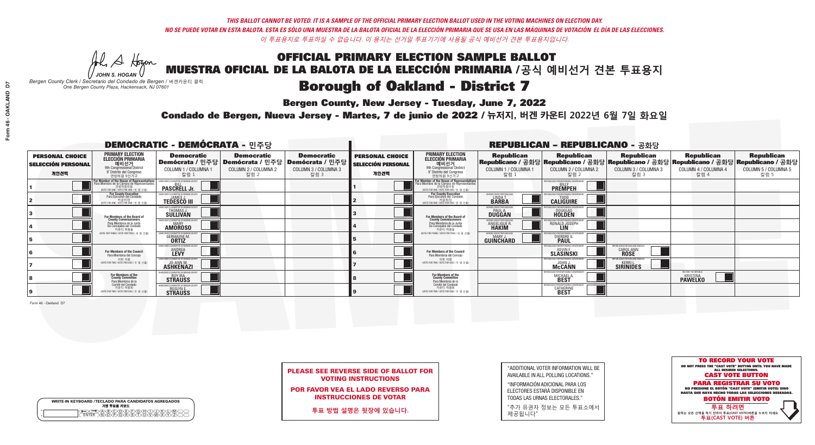**Bergen County, New Jersey - Tuesday, June 7, 2022** 

A Hogen *JOHN S. HOGAN*

|         | <b>WRITE-IN KEYBOARD /TECLADO PARA CANDIDATOS AGREGADOS</b><br>기명 투표용 키보드 |
|---------|---------------------------------------------------------------------------|
| ٥       | .)(B)C)(D)(E)(F)(G)(H)(                                                   |
| $\circ$ | <u>፝ዀፙቑ፝፠ዾ</u>                                                            |

*Bergen County Clerk / Secretario del Condado de Bergen /* 버겐카운티 클럭 *One Bergen County Plaza, Hackensack, NJ 07601*

Condado de Bergen, Nueva Jersey - Martes, 7 de junio de 2022 / 뉴저지, 버겐 카운티 2022년 6월 7일 화요일 *One Bergen County Plaza, Hackensack, NJ 07601*



PLEASE SEE REVERSE SIDE OF BALLOT FOR VOTING INSTRUCTIONS

POR FAVOR VEA EL LADO REVERSO PARA INSTRUCCIONES DE VOTAR

**투표 방법 설명은 뒷장에 있습니다.**

"ADDITIONAL VOTER INFORMATION WILL BE AVAILABLE IN ALL POLLING LOCATIONS."

"INFORMACIÓN ADICIONAL PARA LOS ELECTORES ESTARÁ DISPONIBLE EN TODAS LAS URNAS ELECTORALES."

"추가 유권자 정보는 모든 투표소에서 제공됩니다"

| <b>DEMOCRATIC - DEMÓCRATA - 민주당</b>                         |                                                                                                                                               |                                                                     |                                                   |                                                                                                              | <b>REPUBLICAN - REPUBLICANO - 공화당</b>                       |                                                                                                                                               |                                                            |                                                                                                                                                |                                                             |                                                           |                                                   |
|-------------------------------------------------------------|-----------------------------------------------------------------------------------------------------------------------------------------------|---------------------------------------------------------------------|---------------------------------------------------|--------------------------------------------------------------------------------------------------------------|-------------------------------------------------------------|-----------------------------------------------------------------------------------------------------------------------------------------------|------------------------------------------------------------|------------------------------------------------------------------------------------------------------------------------------------------------|-------------------------------------------------------------|-----------------------------------------------------------|---------------------------------------------------|
| <b>PERSONAL CHOICE</b><br><b>SELECCIÓN PERSONAL</b><br>개인선택 | <b>PRIMARY ELECTION</b><br><b>ELECCIÓN PRIMARIA</b><br>예비선거<br><sup>9th</sup> Congressional District<br>9° Distrito del Congreso<br>연방하원 9선거구 | <b>Democratic</b><br>COLUMN 1 / COLUMNA 1<br>칼럼 :                   | <b>Democratic</b><br>COLUMN 2 / COLUMNA 2<br>칼럼 2 | <b>Democratic</b><br>  Demócrata / 민주당   Demócrata / 민주당   Demócrata / 민주당  <br>COLUMN 3 / COLUMNA 3<br>칼럼 3 | <b>PERSONAL CHOICE</b><br><b>SELECCIÓN PERSONAL</b><br>개인선택 | <b>PRIMARY ELECTION</b><br>ELECCIÓN PRIMARIA<br>9th Congressional District<br>9° Distrito del Congreso<br>연방하원 9선거구                           | <b>Republican</b><br>COLUMN 1 / COLUMNA 1<br>칼럼 1          | <b>Republican</b><br>Republicano / 공화당 Republicano / 공화당 Republicano / 공화당 Republicano / 공화당 Republicano / 공화당<br>COLUMN 2 / COLUMNA 2<br>칼럼 2 | <b>Republican</b><br>COLUMN 3 / COLUMNA 3<br>칼럼 3           | <b>Republican</b><br>COLUMN 4 / COLUMNA 4<br>칼럼 4         | <b>Republican</b><br>COLUMN 5 / COLUMNA 5<br>칼럼 5 |
|                                                             | For Member of the House of Representatives<br>Para Miembro de la Cámara de Representantes<br>NOTE FOR ONE / VOTE POR UNO / 한 명 선출)            | <b>PASCRELL Jr.</b>                                                 |                                                   |                                                                                                              |                                                             | For Member of the House of Representatives<br>Para Miembro de la Cámara de Representantes<br>연방하원의원<br>(VOTE FOR ONE / VOTE POR UNO / 한 명 선출) |                                                            | <b>PREMPEH</b>                                                                                                                                 |                                                             |                                                           |                                                   |
|                                                             | For County Executive<br>Para Ejecutivo del Condado<br>기운티장<br>(VOTE FOR ONE / VOTE POR UNO / 한 명 선출)                                          | <b>EMOCRATIC COMMITTEE OF BERGEN COUNTY</b><br><b>TEDESCO III</b>   |                                                   |                                                                                                              |                                                             | For County Executive<br>Para Ejecutivo del Condado<br>7 카운티장<br>(VOTE FOR ONE / VOTE POR UNO / 한 명 선출)                                        | BERGEN COUNTY REPUBLICAN<br>LINDA T.                       | <b>CALIGUIRE</b>                                                                                                                               |                                                             |                                                           |                                                   |
|                                                             | <b>For Members of the Board of<br/>County Commissioners</b>                                                                                   | CRATIC COMMITTEE OF BERGEN CI<br>THOMAS J.                          |                                                   |                                                                                                              |                                                             | For Members of the Board of<br>County Commissioners                                                                                           | ERGEN COUNTY REPUBLICAL<br><b>PAUL A.</b><br><b>DUGGAN</b> | <b>DOUGLAS</b>                                                                                                                                 |                                                             |                                                           |                                                   |
|                                                             | Para Miembros de la Junta<br>De Concejales del Condado<br>카우티 위원들                                                                             | MOCRATIC COMMITTEE OF BERGEN COUNT<br><b>MARY</b><br><b>AMOROSO</b> |                                                   |                                                                                                              |                                                             | Para Miembros de la Junta<br>De Concejales del Condado<br>카운티 위원들                                                                             | <b>RGEN COUNTY REPUBLICAN</b><br><b>ANGELIQUE R</b>        | RONALD JOSEPH                                                                                                                                  |                                                             |                                                           |                                                   |
|                                                             | NOTE FOR THREE / VOTE POR TRES / 세 명 선출)                                                                                                      | TIC COMMITTEE OF RERGEN C<br><b>GERMAINE M</b><br><b>ORTIZ</b>      |                                                   |                                                                                                              |                                                             | NOTE FOR THREE / VOTE POR TRES / 세 명 선출                                                                                                       | <b>FRGEN COUNTY REPUBLICANS</b><br><b>GUINCHARD</b>        | DIERDRE <sup>C</sup>                                                                                                                           |                                                             |                                                           |                                                   |
|                                                             | <b>For Members of the Council</b><br>Para Miembros del Conceio                                                                                | MOCRATIC COMMITTEE OF BERG<br><b>ANDREA</b>                         |                                                   |                                                                                                              |                                                             | <b>For Members of the Council</b><br>Para Miembros del Concejo                                                                                |                                                            | SLÄŠINSKI                                                                                                                                      | PUBI ICANS FOR OAKI AND FAMILII<br>CAROL ANN<br><b>ROSE</b> |                                                           |                                                   |
|                                                             | 의회 의원<br>NOTE FOR TWO / VOTE POR DOS / 두 명 선출)                                                                                                | <b>JO-ANN M.</b><br><b>ASHKENAZI</b>                                |                                                   |                                                                                                              |                                                             | 의회 의원<br>NOTE FOR TWO / VOTE POR DOS / 두 명 선출)                                                                                                |                                                            | <b>McCANN</b>                                                                                                                                  | PUBLICANS FOR OAKLAND FAMILI<br><b>SIRINIDES</b><br>-1      |                                                           |                                                   |
|                                                             | For Members of the<br>County Committee<br>Para Miembros de la                                                                                 | <b>STRAUSS</b>                                                      |                                                   |                                                                                                              |                                                             | <b>For Members of the<br/>County Committee</b>                                                                                                |                                                            | <b>MICHAEL A</b>                                                                                                                               |                                                             | RESTORE THE REPUBLIC<br><b>KRISTINA</b><br><b>PAWELKO</b> |                                                   |
|                                                             | Comité del Condado<br>카운티 위원회<br>VOTE FOR TWO / VOTE POR DOS / 두 명 선출)                                                                        | <b>STRAUSS</b>                                                      |                                                   |                                                                                                              |                                                             | Para Miembros de la<br>Comité del Condado<br>카운티 위원회<br>NOTE FOR TWO / VOTE POR DOS / 두 명 선출)                                                 |                                                            | REPUBLICANS FOR RESPONSIBLE (<br><b>CATHERINE</b>                                                                                              |                                                             |                                                           |                                                   |